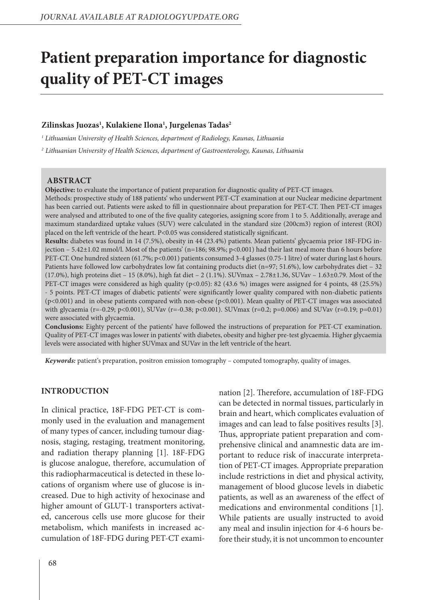# **Patient preparation importance for diagnostic quality of PET-CT images**

## **Zilinskas Juozas1 , Kulakiene Ilona1 , Jurgelenas Tadas2**

*1 Lithuanian University of Health Sciences, department of Radiology, Kaunas, Lithuania*

*2 Lithuanian University of Health Sciences, department of Gastroenterology, Kaunas, Lithuania*

### **ABSTRACT**

**Objective:** to evaluate the importance of patient preparation for diagnostic quality of PET-CT images.

Methods: prospective study of 188 patients' who underwent PET-CT examination at our Nuclear medicine department has been carried out. Patients were asked to fill in questionnaire about preparation for PET-CT. Then PET-CT images were analysed and attributed to one of the five quality categories, assigning score from 1 to 5. Additionally, average and maximum standardized uptake values (SUV) were calculated in the standard size (200cm3) region of interest (ROI) placed on the left ventricle of the heart. P<0.05 was considered statistically significant.

**Results:** diabetes was found in 14 (7.5%), obesity in 44 (23.4%) patients. Mean patients' glycaemia prior 18F-FDG injection  $-5.42\pm1.02$  mmol/l. Most of the patients' (n=186; 98.9%; p<0.001) had their last meal more than 6 hours before PET-CT. One hundred sixteen (61.7%; p<0.001) patients consumed 3-4 glasses (0.75-1 litre) of water during last 6 hours. Patients have followed low carbohydrates low fat containing products diet (n=97; 51.6%), low carbohydrates diet – 32 (17.0%), high proteins diet – 15 (8.0%), high fat diet – 2 (1.1%). SUVmax – 2.78±1.36, SUVav – 1.63±0.79. Most of the PET-CT images were considered as high quality (p<0.05): 82 (43.6 %) images were assigned for 4 points, 48 (25.5%) - 5 points. PET-CT images of diabetic patients' were significantly lower quality compared with non-diabetic patients (p<0.001) and in obese patients compared with non-obese (p<0.001). Mean quality of PET-CT images was associated with glycaemia (r=-0.29; p<0.001), SUVav (r=-0.38; p<0.001). SUVmax (r=0.2; p=0.006) and SUVav (r=0.19; p=0.01) were associated with glycaemia.

**Conclusions:** Eighty percent of the patients' have followed the instructions of preparation for PET-CT examination. Quality of PET-CT images was lower in patients' with diabetes, obesity and higher pre-test glycaemia. Higher glycaemia levels were associated with higher SUVmax and SUVav in the left ventricle of the heart.

*Keywords:* patient's preparation, positron emission tomography – computed tomography, quality of images.

### **INTRODUCTION**

In clinical practice, 18F-FDG PET-CT is commonly used in the evaluation and management of many types of cancer, including tumour diagnosis, staging, restaging, treatment monitoring, and radiation therapy planning [1]. 18F-FDG is glucose analogue, therefore, accumulation of this radiopharmaceutical is detected in these locations of organism where use of glucose is increased. Due to high activity of hexocinase and higher amount of GLUT-1 transporters activated, cancerous cells use more glucose for their metabolism, which manifests in increased accumulation of 18F-FDG during PET-CT examination [2]. Therefore, accumulation of 18F-FDG can be detected in normal tissues, particularly in brain and heart, which complicates evaluation of images and can lead to false positives results [3]. Thus, appropriate patient preparation and comprehensive clinical and anamnestic data are important to reduce risk of inaccurate interpretation of PET-CT images. Appropriate preparation include restrictions in diet and physical activity, management of blood glucose levels in diabetic patients, as well as an awareness of the effect of medications and environmental conditions [1]. While patients are usually instructed to avoid any meal and insulin injection for 4-6 hours before their study, it is not uncommon to encounter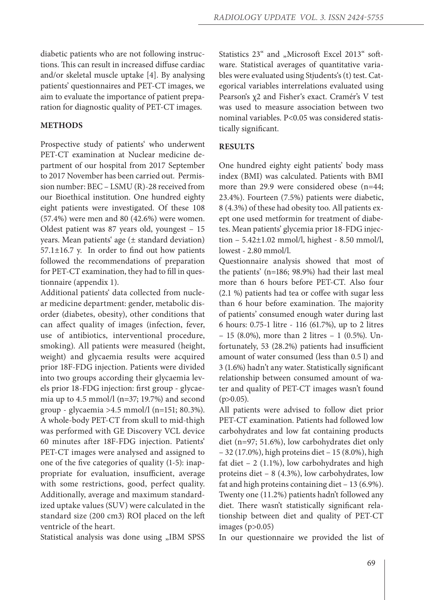diabetic patients who are not following instructions. This can result in increased diffuse cardiac and/or skeletal muscle uptake [4]. By analysing patients' questionnaires and PET-CT images, we aim to evaluate the importance of patient preparation for diagnostic quality of PET-CT images.

# **METHODS**

Prospective study of patients' who underwent PET-CT examination at Nuclear medicine department of our hospital from 2017 September to 2017 November has been carried out. Permission number: BEC – LSMU (R)-28 received from our Bioethical institution. One hundred eighty eight patients were investigated. Of these 108 (57.4%) were men and 80 (42.6%) were women. Oldest patient was 87 years old, youngest – 15 years. Mean patients' age  $(\pm$  standard deviation)  $57.1 \pm 16.7$  y. In order to find out how patients followed the recommendations of preparation for PET-CT examination, they had to fill in questionnaire (appendix 1).

Additional patients' data collected from nuclear medicine department: gender, metabolic disorder (diabetes, obesity), other conditions that can affect quality of images (infection, fever, use of antibiotics, interventional procedure, smoking). All patients were measured (height, weight) and glycaemia results were acquired prior 18F-FDG injection. Patients were divided into two groups according their glycaemia levels prior 18-FDG injection: first group - glycaemia up to 4.5 mmol/l (n=37; 19.7%) and second group - glycaemia >4.5 mmol/l (n=151; 80.3%). A whole-body PET-CT from skull to mid-thigh was performed with GE Discovery VCL device 60 minutes after 18F-FDG injection. Patients' PET-CT images were analysed and assigned to one of the five categories of quality (1-5): inappropriate for evaluation, insufficient, average with some restrictions, good, perfect quality. Additionally, average and maximum standardized uptake values (SUV) were calculated in the standard size (200 cm3) ROI placed on the left ventricle of the heart.

Statistical analysis was done using "IBM SPSS

Statistics 23" and "Microsoft Excel 2013" software. Statistical averages of quantitative variables were evaluated using Stjudents's (t) test. Categorical variables interrelations evaluated using Pearson's χ2 and Fisher's exact. Cramér's V test was used to measure association between two nominal variables. P<0.05 was considered statistically significant.

# **RESULTS**

One hundred eighty eight patients' body mass index (BMI) was calculated. Patients with BMI more than 29.9 were considered obese (n=44; 23.4%). Fourteen (7.5%) patients were diabetic, 8 (4.3%) of these had obesity too. All patients exept one used metformin for treatment of diabetes. Mean patients' glycemia prior 18-FDG injection – 5.42±1.02 mmol/l, highest - 8.50 mmol/l, lowest - 2.80 mmol/l.

Questionnaire analysis showed that most of the patients' (n=186; 98.9%) had their last meal more than 6 hours before PET-CT. Also four (2.1 %) patients had tea or coffee with sugar less than 6 hour before examination. The majority of patients' consumed enough water during last 6 hours: 0.75-1 litre - 116 (61.7%), up to 2 litres – 15 (8.0%), more than 2 litres – 1 (0.5%). Unfortunately, 53 (28.2%) patients had insufficient amount of water consumed (less than 0.5 l) and 3 (1.6%) hadn't any water. Statistically significant relationship between consumed amount of water and quality of PET-CT images wasn't found  $(p>0.05)$ .

All patients were advised to follow diet prior PET-CT examination. Patients had followed low carbohydrates and low fat containing products diet (n=97; 51.6%), low carbohydrates diet only – 32 (17.0%), high proteins diet – 15 (8.0%), high fat diet  $-2$  (1.1%), low carbohydrates and high proteins diet – 8 (4.3%), low carbohydrates, low fat and high proteins containing diet – 13 (6.9%). Twenty one (11.2%) patients hadn't followed any diet. There wasn't statistically significant relationship between diet and quality of PET-CT images (p>0.05)

In our questionnaire we provided the list of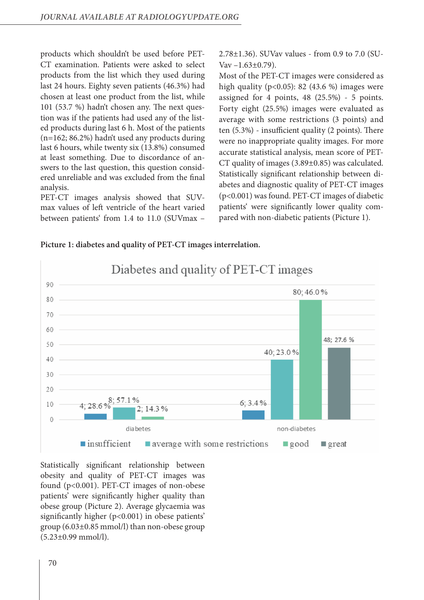products which shouldn't be used before PET-CT examination. Patients were asked to select products from the list which they used during last 24 hours. Eighty seven patients (46.3%) had chosen at least one product from the list, while 101 (53.7 %) hadn't chosen any. The next question was if the patients had used any of the listed products during last 6 h. Most of the patients (n=162; 86.2%) hadn't used any products during last 6 hours, while twenty six (13.8%) consumed at least something. Due to discordance of answers to the last question, this question considered unreliable and was excluded from the final analysis.

PET-CT images analysis showed that SUVmax values of left ventricle of the heart varied between patients' from 1.4 to 11.0 (SUVmax – 2.78±1.36). SUVav values - from 0.9 to 7.0 (SU-Vav  $-1.63\pm0.79$ ).

Most of the PET-CT images were considered as high quality ( $p<0.05$ ): 82 (43.6 %) images were assigned for 4 points, 48 (25.5%) - 5 points. Forty eight (25.5%) images were evaluated as average with some restrictions (3 points) and ten (5.3%) - insufficient quality (2 points). There were no inappropriate quality images. For more accurate statistical analysis, mean score of PET-CT quality of images (3.89±0.85) was calculated. Statistically significant relationship between diabetes and diagnostic quality of PET-CT images (p<0.001) was found. PET-CT images of diabetic patients' were significantly lower quality compared with non-diabetic patients (Picture 1).



### **Picture 1: diabetes and quality of PET-CT images interrelation.**

Statistically significant relationship between obesity and quality of PET-CT images was found (p<0.001). PET-CT images of non-obese patients' were significantly higher quality than obese group (Picture 2). Average glycaemia was significantly higher (p<0.001) in obese patients' group (6.03±0.85 mmol/l) than non-obese group (5.23±0.99 mmol/l).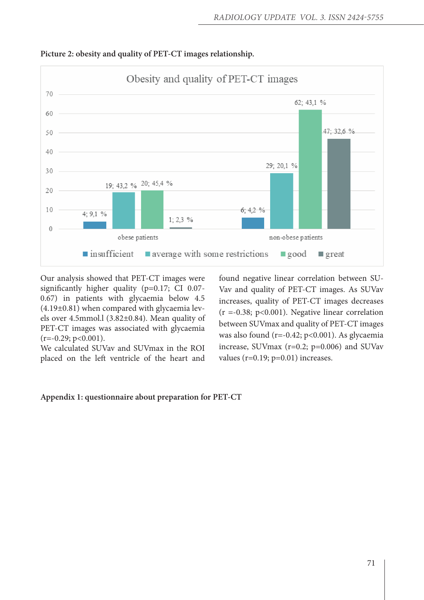

### **Picture 2: obesity and quality of PET-CT images relationship.**

Our analysis showed that PET-CT images were significantly higher quality (p=0.17; CI 0.07- 0.67) in patients with glycaemia below 4.5 (4.19±0.81) when compared with glycaemia levels over 4.5mmol.l (3.82±0.84). Mean quality of PET-CT images was associated with glycaemia  $(r=-0.29; p<0.001)$ .

We calculated SUVav and SUVmax in the ROI placed on the left ventricle of the heart and found negative linear correlation between SU-Vav and quality of PET-CT images. As SUVav increases, quality of PET-CT images decreases  $(r = -0.38; p < 0.001)$ . Negative linear correlation between SUVmax and quality of PET-CT images was also found (r=-0.42; p<0.001). As glycaemia increase, SUVmax (r=0.2; p=0.006) and SUVav values (r=0.19; p=0.01) increases.

### **Appendix 1: questionnaire about preparation for PET-CT**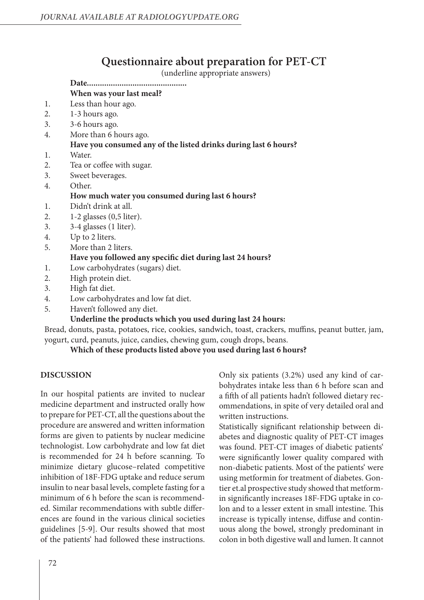# **Questionnaire about preparation for PET-CT**

(underline appropriate answers)

#### **Date.............................................. When was your last meal?**

- 1. Less than hour ago.
- 2. 1-3 hours ago.
- 3. 3-6 hours ago.
- 4. More than 6 hours ago.

## **Have you consumed any of the listed drinks during last 6 hours?**

- 1. Water.
- 2. Tea or coffee with sugar.
- 3. Sweet beverages.
- 4. Other.

### **How much water you consumed during last 6 hours?**

- 1. Didn't drink at all.
- 2. 1-2 glasses (0,5 liter).
- 3. 3-4 glasses (1 liter).
- 4. Up to 2 liters.
- 5. More than 2 liters. **Have you followed any specific diet during last 24 hours?**
- 1. Low carbohydrates (sugars) diet.
- 2. High protein diet.
- 3. High fat diet.
- 4. Low carbohydrates and low fat diet.
- 5. Haven't followed any diet.

## **Underline the products which you used during last 24 hours:**

Bread, donuts, pasta, potatoes, rice, cookies, sandwich, toast, crackers, muffins, peanut butter, jam, yogurt, curd, peanuts, juice, candies, chewing gum, cough drops, beans.

**Which of these products listed above you used during last 6 hours?**

### **DISCUSSION**

In our hospital patients are invited to nuclear medicine department and instructed orally how to prepare for PET-CT, all the questions about the procedure are answered and written information forms are given to patients by nuclear medicine technologist. Low carbohydrate and low fat diet is recommended for 24 h before scanning. To minimize dietary glucose–related competitive inhibition of 18F-FDG uptake and reduce serum insulin to near basal levels, complete fasting for a minimum of 6 h before the scan is recommended. Similar recommendations with subtle differences are found in the various clinical societies guidelines [5-9]. Our results showed that most of the patients' had followed these instructions.

Only six patients (3.2%) used any kind of carbohydrates intake less than 6 h before scan and a fifth of all patients hadn't followed dietary recommendations, in spite of very detailed oral and written instructions.

Statistically significant relationship between diabetes and diagnostic quality of PET-CT images was found. PET-CT images of diabetic patients' were significantly lower quality compared with non-diabetic patients. Most of the patients' were using metformin for treatment of diabetes. Gontier et.al prospective study showed that metformin significantly increases 18F-FDG uptake in colon and to a lesser extent in small intestine. This increase is typically intense, diffuse and continuous along the bowel, strongly predominant in colon in both digestive wall and lumen. It cannot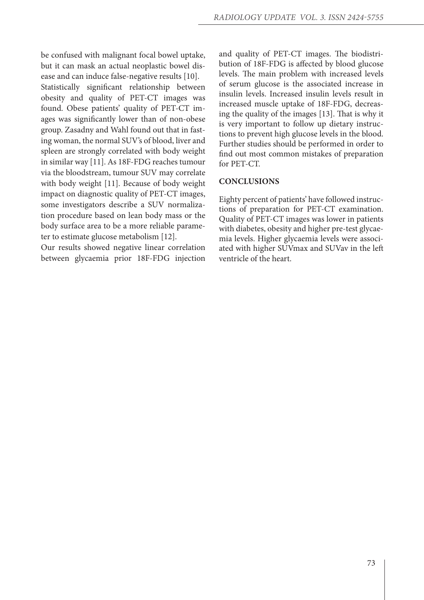be confused with malignant focal bowel uptake, but it can mask an actual neoplastic bowel disease and can induce false-negative results [10]. Statistically significant relationship between obesity and quality of PET-CT images was found. Obese patients' quality of PET-CT images was significantly lower than of non-obese group. Zasadny and Wahl found out that in fasting woman, the normal SUV's of blood, liver and spleen are strongly correlated with body weight in similar way [11]. As 18F-FDG reaches tumour via the bloodstream, tumour SUV may correlate with body weight [11]. Because of body weight impact on diagnostic quality of PET-CT images, some investigators describe a SUV normalization procedure based on lean body mass or the body surface area to be a more reliable parameter to estimate glucose metabolism [12].

Our results showed negative linear correlation between glycaemia prior 18F-FDG injection and quality of PET-CT images. The biodistribution of 18F-FDG is affected by blood glucose levels. The main problem with increased levels of serum glucose is the associated increase in insulin levels. Increased insulin levels result in increased muscle uptake of 18F-FDG, decreasing the quality of the images [13]. That is why it is very important to follow up dietary instructions to prevent high glucose levels in the blood. Further studies should be performed in order to find out most common mistakes of preparation for PET-CT.

### **CONCLUSIONS**

Eighty percent of patients' have followed instructions of preparation for PET-CT examination. Quality of PET-CT images was lower in patients with diabetes, obesity and higher pre-test glycaemia levels. Higher glycaemia levels were associated with higher SUVmax and SUVav in the left ventricle of the heart.